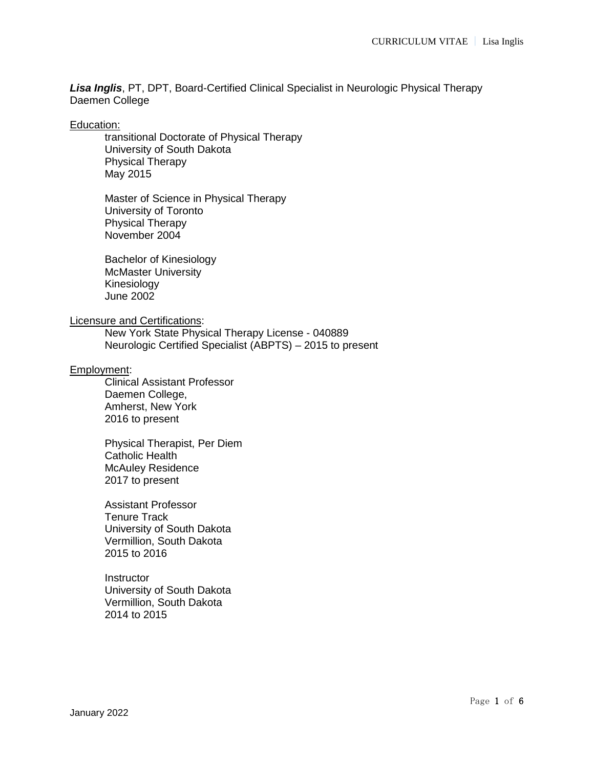*Lisa Inglis*, PT, DPT, Board-Certified Clinical Specialist in Neurologic Physical Therapy Daemen College

### Education:

transitional Doctorate of Physical Therapy University of South Dakota Physical Therapy May 2015

Master of Science in Physical Therapy University of Toronto Physical Therapy November 2004

Bachelor of Kinesiology McMaster University Kinesiology June 2002

## Licensure and Certifications:

New York State Physical Therapy License - 040889 Neurologic Certified Specialist (ABPTS) – 2015 to present

# Employment:

Clinical Assistant Professor Daemen College, Amherst, New York 2016 to present

Physical Therapist, Per Diem Catholic Health McAuley Residence 2017 to present

Assistant Professor Tenure Track University of South Dakota Vermillion, South Dakota 2015 to 2016

**Instructor** University of South Dakota Vermillion, South Dakota 2014 to 2015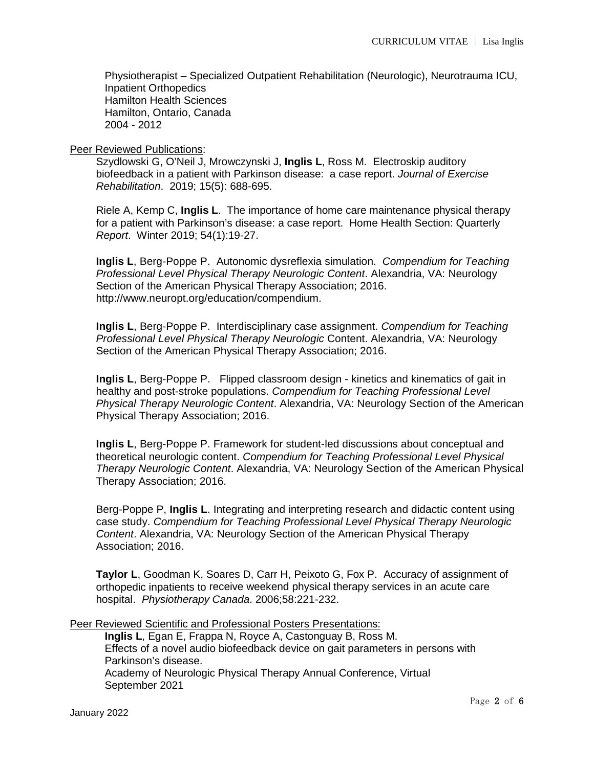Physiotherapist – Specialized Outpatient Rehabilitation (Neurologic), Neurotrauma ICU, Inpatient Orthopedics Hamilton Health Sciences Hamilton, Ontario, Canada 2004 - 2012

Peer Reviewed Publications:

Szydlowski G, O'Neil J, Mrowczynski J, **Inglis L**, Ross M. Electroskip auditory biofeedback in a patient with Parkinson disease: a case report. *Journal of Exercise Rehabilitation*. 2019; 15(5): 688-695.

Riele A, Kemp C, **Inglis L**. The importance of home care maintenance physical therapy for a patient with Parkinson's disease: a case report. Home Health Section: Quarterly *Report*. Winter 2019; 54(1):19-27.

**Inglis L**, Berg-Poppe P. Autonomic dysreflexia simulation. *Compendium for Teaching Professional Level Physical Therapy Neurologic Content*. Alexandria, VA: Neurology Section of the American Physical Therapy Association; 2016. http://www.neuropt.org/education/compendium.

**Inglis L**, Berg-Poppe P. Interdisciplinary case assignment. *Compendium for Teaching Professional Level Physical Therapy Neurologic* Content. Alexandria, VA: Neurology Section of the American Physical Therapy Association; 2016.

**Inglis L**, Berg-Poppe P. Flipped classroom design - kinetics and kinematics of gait in healthy and post-stroke populations. *Compendium for Teaching Professional Level Physical Therapy Neurologic Content*. Alexandria, VA: Neurology Section of the American Physical Therapy Association; 2016.

**Inglis L**, Berg-Poppe P. Framework for student-led discussions about conceptual and theoretical neurologic content. *Compendium for Teaching Professional Level Physical Therapy Neurologic Content*. Alexandria, VA: Neurology Section of the American Physical Therapy Association; 2016.

Berg-Poppe P, **Inglis L**. Integrating and interpreting research and didactic content using case study. *Compendium for Teaching Professional Level Physical Therapy Neurologic Content*. Alexandria, VA: Neurology Section of the American Physical Therapy Association; 2016.

**Taylor L**, Goodman K, Soares D, Carr H, Peixoto G, Fox P. Accuracy of assignment of orthopedic inpatients to receive weekend physical therapy services in an acute care hospital. *Physiotherapy Canada*. 2006;58:221-232.

Peer Reviewed Scientific and Professional Posters Presentations:

**Inglis L**, Egan E, Frappa N, Royce A, Castonguay B, Ross M. Effects of a novel audio biofeedback device on gait parameters in persons with Parkinson's disease. Academy of Neurologic Physical Therapy Annual Conference, Virtual September 2021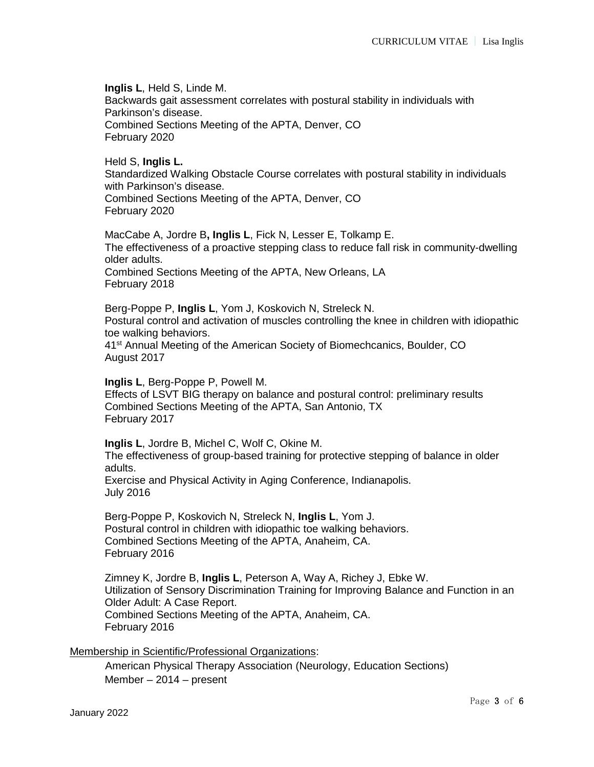**Inglis L**, Held S, Linde M. Backwards gait assessment correlates with postural stability in individuals with Parkinson's disease. Combined Sections Meeting of the APTA, Denver, CO February 2020

Held S, **Inglis L.** Standardized Walking Obstacle Course correlates with postural stability in individuals with Parkinson's disease. Combined Sections Meeting of the APTA, Denver, CO February 2020

MacCabe A, Jordre B**, Inglis L**, Fick N, Lesser E, Tolkamp E. The effectiveness of a proactive stepping class to reduce fall risk in community-dwelling older adults. Combined Sections Meeting of the APTA, New Orleans, LA February 2018

Berg-Poppe P, **Inglis L**, Yom J, Koskovich N, Streleck N. Postural control and activation of muscles controlling the knee in children with idiopathic toe walking behaviors. 41<sup>st</sup> Annual Meeting of the American Society of Biomechcanics, Boulder, CO August 2017

**Inglis L**, Berg-Poppe P, Powell M. Effects of LSVT BIG therapy on balance and postural control: preliminary results Combined Sections Meeting of the APTA, San Antonio, TX February 2017

**Inglis L**, Jordre B, Michel C, Wolf C, Okine M. The effectiveness of group-based training for protective stepping of balance in older adults. Exercise and Physical Activity in Aging Conference, Indianapolis. July 2016

Berg-Poppe P, Koskovich N, Streleck N, **Inglis L**, Yom J. Postural control in children with idiopathic toe walking behaviors. Combined Sections Meeting of the APTA, Anaheim, CA. February 2016

Zimney K, Jordre B, **Inglis L**, Peterson A, Way A, Richey J, Ebke W. Utilization of Sensory Discrimination Training for Improving Balance and Function in an Older Adult: A Case Report. Combined Sections Meeting of the APTA, Anaheim, CA. February 2016

Membership in Scientific/Professional Organizations:

American Physical Therapy Association (Neurology, Education Sections) Member – 2014 – present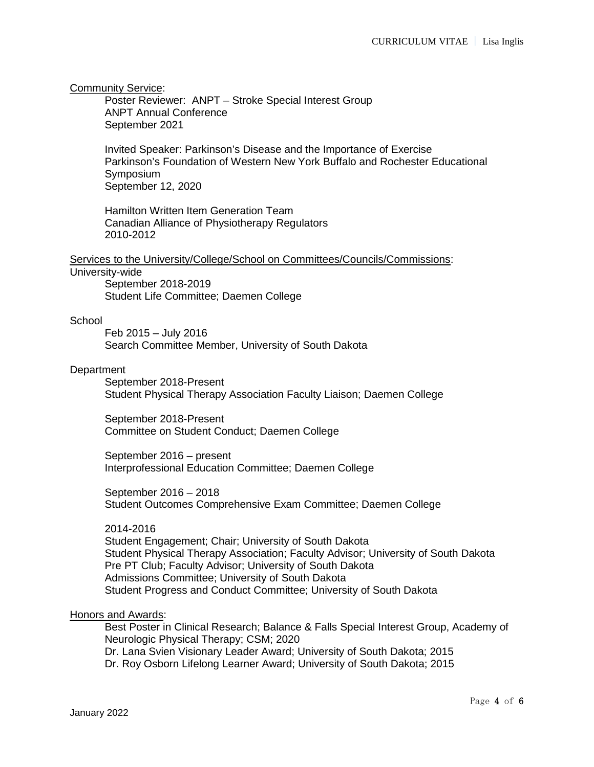# Community Service:

Poster Reviewer: ANPT – Stroke Special Interest Group ANPT Annual Conference September 2021

Invited Speaker: Parkinson's Disease and the Importance of Exercise Parkinson's Foundation of Western New York Buffalo and Rochester Educational Symposium September 12, 2020

Hamilton Written Item Generation Team Canadian Alliance of Physiotherapy Regulators 2010-2012

Services to the University/College/School on Committees/Councils/Commissions:

## University-wide

September 2018-2019 Student Life Committee; Daemen College

### **School**

Feb 2015 – July 2016 Search Committee Member, University of South Dakota

#### **Department**

September 2018-Present Student Physical Therapy Association Faculty Liaison; Daemen College

September 2018-Present Committee on Student Conduct; Daemen College

September 2016 – present Interprofessional Education Committee; Daemen College

September 2016 – 2018 Student Outcomes Comprehensive Exam Committee; Daemen College

### 2014-2016

Student Engagement; Chair; University of South Dakota Student Physical Therapy Association; Faculty Advisor; University of South Dakota Pre PT Club; Faculty Advisor; University of South Dakota Admissions Committee; University of South Dakota Student Progress and Conduct Committee; University of South Dakota

### Honors and Awards:

Best Poster in Clinical Research; Balance & Falls Special Interest Group, Academy of Neurologic Physical Therapy; CSM; 2020 Dr. Lana Svien Visionary Leader Award; University of South Dakota; 2015 Dr. Roy Osborn Lifelong Learner Award; University of South Dakota; 2015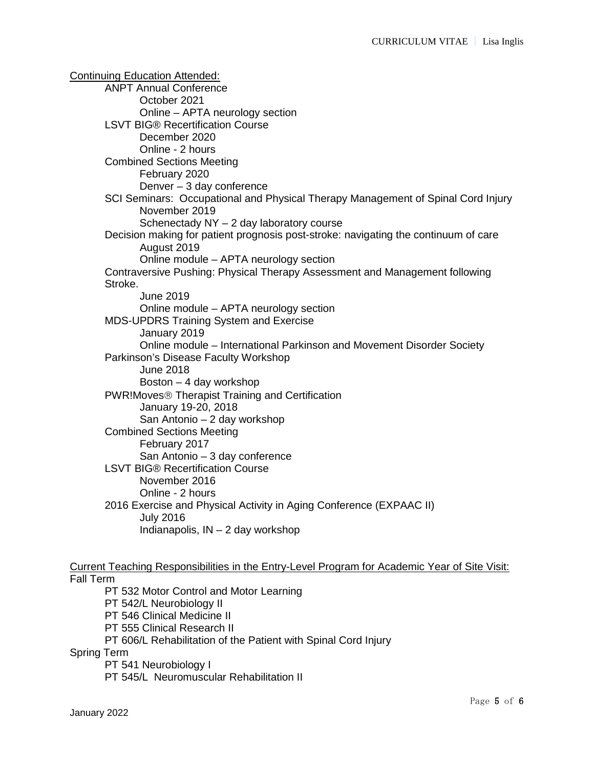Continuing Education Attended: ANPT Annual Conference October 2021 Online – APTA neurology section LSVT BIG® Recertification Course December 2020 Online - 2 hours Combined Sections Meeting February 2020 Denver – 3 day conference SCI Seminars: Occupational and Physical Therapy Management of Spinal Cord Injury November 2019 Schenectady NY – 2 day laboratory course Decision making for patient prognosis post-stroke: navigating the continuum of care August 2019 Online module – APTA neurology section Contraversive Pushing: Physical Therapy Assessment and Management following Stroke. June 2019 Online module – APTA neurology section MDS-UPDRS Training System and Exercise January 2019 Online module – International Parkinson and Movement Disorder Society Parkinson's Disease Faculty Workshop June 2018 Boston  $-4$  day workshop PWR!Moves<sup>®</sup> Therapist Training and Certification January 19-20, 2018 San Antonio – 2 day workshop Combined Sections Meeting February 2017 San Antonio – 3 day conference LSVT BIG® Recertification Course November 2016 Online - 2 hours 2016 Exercise and Physical Activity in Aging Conference (EXPAAC II) July 2016 Indianapolis,  $IN - 2$  day workshop

Current Teaching Responsibilities in the Entry-Level Program for Academic Year of Site Visit: Fall Term

PT 532 Motor Control and Motor Learning PT 542/L Neurobiology II PT 546 Clinical Medicine II PT 555 Clinical Research II PT 606/L Rehabilitation of the Patient with Spinal Cord Injury Spring Term PT 541 Neurobiology I

PT 545/L Neuromuscular Rehabilitation II